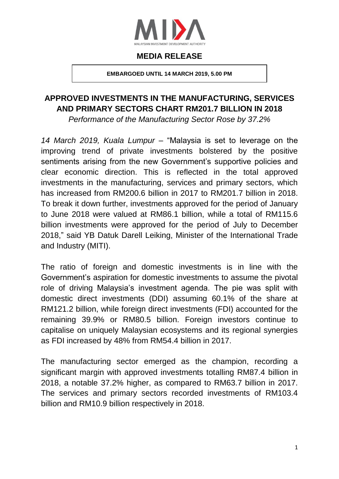

#### **MEDIA RELEASE**

**EMBARGOED UNTIL 14 MARCH 2019, 5.00 PM**

# **APPROVED INVESTMENTS IN THE MANUFACTURING, SERVICES AND PRIMARY SECTORS CHART RM201.7 BILLION IN 2018**

*Performance of the Manufacturing Sector Rose by 37.2%*

*14 March 2019, Kuala Lumpur* – "Malaysia is set to leverage on the improving trend of private investments bolstered by the positive sentiments arising from the new Government's supportive policies and clear economic direction. This is reflected in the total approved investments in the manufacturing, services and primary sectors, which has increased from RM200.6 billion in 2017 to RM201.7 billion in 2018. To break it down further, investments approved for the period of January to June 2018 were valued at RM86.1 billion, while a total of RM115.6 billion investments were approved for the period of July to December 2018," said YB Datuk Darell Leiking, Minister of the International Trade and Industry (MITI).

The ratio of foreign and domestic investments is in line with the Government's aspiration for domestic investments to assume the pivotal role of driving Malaysia's investment agenda. The pie was split with domestic direct investments (DDI) assuming 60.1% of the share at RM121.2 billion, while foreign direct investments (FDI) accounted for the remaining 39.9% or RM80.5 billion. Foreign investors continue to capitalise on uniquely Malaysian ecosystems and its regional synergies as FDI increased by 48% from RM54.4 billion in 2017.

The manufacturing sector emerged as the champion, recording a significant margin with approved investments totalling RM87.4 billion in 2018, a notable 37.2% higher, as compared to RM63.7 billion in 2017. The services and primary sectors recorded investments of RM103.4 billion and RM10.9 billion respectively in 2018.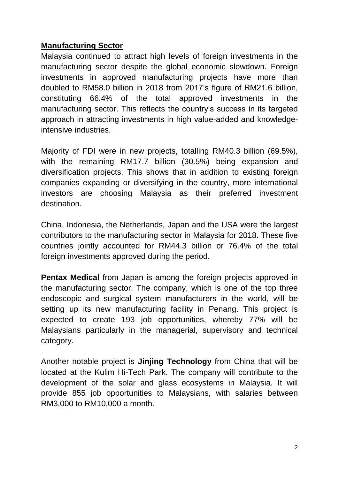#### **Manufacturing Sector**

Malaysia continued to attract high levels of foreign investments in the manufacturing sector despite the global economic slowdown. Foreign investments in approved manufacturing projects have more than doubled to RM58.0 billion in 2018 from 2017's figure of RM21.6 billion, constituting 66.4% of the total approved investments in the manufacturing sector. This reflects the country's success in its targeted approach in attracting investments in high value-added and knowledgeintensive industries.

Majority of FDI were in new projects, totalling RM40.3 billion (69.5%), with the remaining RM17.7 billion (30.5%) being expansion and diversification projects. This shows that in addition to existing foreign companies expanding or diversifying in the country, more international investors are choosing Malaysia as their preferred investment destination.

China, Indonesia, the Netherlands, Japan and the USA were the largest contributors to the manufacturing sector in Malaysia for 2018. These five countries jointly accounted for RM44.3 billion or 76.4% of the total foreign investments approved during the period.

**Pentax Medical** from Japan is among the foreign projects approved in the manufacturing sector. The company, which is one of the top three endoscopic and surgical system manufacturers in the world, will be setting up its new manufacturing facility in Penang. This project is expected to create 193 job opportunities, whereby 77% will be Malaysians particularly in the managerial, supervisory and technical category.

Another notable project is **Jinjing Technology** from China that will be located at the Kulim Hi-Tech Park. The company will contribute to the development of the solar and glass ecosystems in Malaysia. It will provide 855 job opportunities to Malaysians, with salaries between RM3,000 to RM10,000 a month.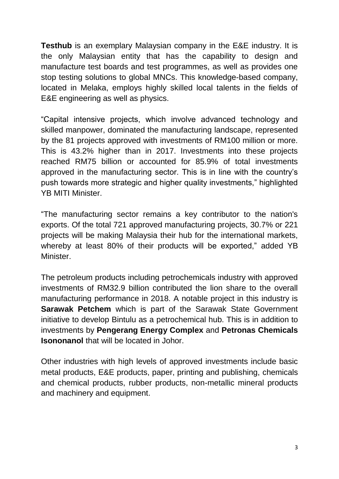**Testhub** is an exemplary Malaysian company in the E&E industry. It is the only Malaysian entity that has the capability to design and manufacture test boards and test programmes, as well as provides one stop testing solutions to global MNCs. This knowledge-based company, located in Melaka, employs highly skilled local talents in the fields of E&E engineering as well as physics.

"Capital intensive projects, which involve advanced technology and skilled manpower, dominated the manufacturing landscape, represented by the 81 projects approved with investments of RM100 million or more. This is 43.2% higher than in 2017. Investments into these projects reached RM75 billion or accounted for 85.9% of total investments approved in the manufacturing sector. This is in line with the country's push towards more strategic and higher quality investments," highlighted YB MITI Minister.

"The manufacturing sector remains a key contributor to the nation's exports. Of the total 721 approved manufacturing projects, 30.7% or 221 projects will be making Malaysia their hub for the international markets, whereby at least 80% of their products will be exported," added YB Minister.

The petroleum products including petrochemicals industry with approved investments of RM32.9 billion contributed the lion share to the overall manufacturing performance in 2018. A notable project in this industry is **Sarawak Petchem** which is part of the Sarawak State Government initiative to develop Bintulu as a petrochemical hub. This is in addition to investments by **Pengerang Energy Complex** and **Petronas Chemicals Isononanol** that will be located in Johor.

Other industries with high levels of approved investments include basic metal products, E&E products, paper, printing and publishing, chemicals and chemical products, rubber products, non-metallic mineral products and machinery and equipment.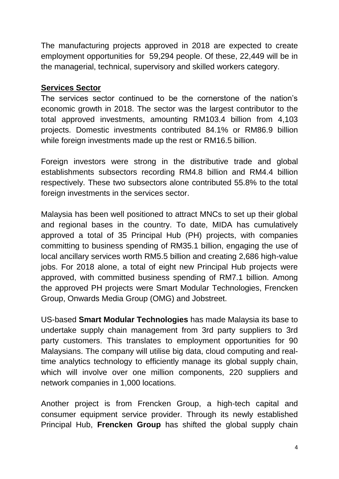The manufacturing projects approved in 2018 are expected to create employment opportunities for 59,294 people. Of these, 22,449 will be in the managerial, technical, supervisory and skilled workers category.

# **Services Sector**

The services sector continued to be the cornerstone of the nation's economic growth in 2018. The sector was the largest contributor to the total approved investments, amounting RM103.4 billion from 4,103 projects. Domestic investments contributed 84.1% or RM86.9 billion while foreign investments made up the rest or RM16.5 billion.

Foreign investors were strong in the distributive trade and global establishments subsectors recording RM4.8 billion and RM4.4 billion respectively. These two subsectors alone contributed 55.8% to the total foreign investments in the services sector.

Malaysia has been well positioned to attract MNCs to set up their global and regional bases in the country. To date, MIDA has cumulatively approved a total of 35 Principal Hub (PH) projects, with companies committing to business spending of RM35.1 billion, engaging the use of local ancillary services worth RM5.5 billion and creating 2,686 high-value jobs. For 2018 alone, a total of eight new Principal Hub projects were approved, with committed business spending of RM7.1 billion. Among the approved PH projects were Smart Modular Technologies, Frencken Group, Onwards Media Group (OMG) and Jobstreet.

US-based **Smart Modular Technologies** has made Malaysia its base to undertake supply chain management from 3rd party suppliers to 3rd party customers. This translates to employment opportunities for 90 Malaysians. The company will utilise big data, cloud computing and realtime analytics technology to efficiently manage its global supply chain, which will involve over one million components, 220 suppliers and network companies in 1,000 locations.

Another project is from Frencken Group, a high-tech capital and consumer equipment service provider. Through its newly established Principal Hub, **Frencken Group** has shifted the global supply chain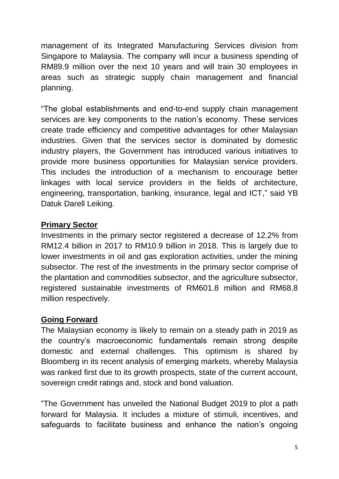management of its Integrated Manufacturing Services division from Singapore to Malaysia. The company will incur a business spending of RM89.9 million over the next 10 years and will train 30 employees in areas such as strategic supply chain management and financial planning.

"The global establishments and end-to-end supply chain management services are key components to the nation's economy. These services create trade efficiency and competitive advantages for other Malaysian industries. Given that the services sector is dominated by domestic industry players, the Government has introduced various initiatives to provide more business opportunities for Malaysian service providers. This includes the introduction of a mechanism to encourage better linkages with local service providers in the fields of architecture, engineering, transportation, banking, insurance, legal and ICT," said YB Datuk Darell Leiking.

# **Primary Sector**

Investments in the primary sector registered a decrease of 12.2% from RM12.4 billion in 2017 to RM10.9 billion in 2018. This is largely due to lower investments in oil and gas exploration activities, under the mining subsector. The rest of the investments in the primary sector comprise of the plantation and commodities subsector, and the agriculture subsector, registered sustainable investments of RM601.8 million and RM68.8 million respectively.

# **Going Forward**

The Malaysian economy is likely to remain on a steady path in 2019 as the country's macroeconomic fundamentals remain strong despite domestic and external challenges. This optimism is shared by Bloomberg in its recent analysis of emerging markets, whereby Malaysia was ranked first due to its growth prospects, state of the current account, sovereign credit ratings and, stock and bond valuation.

"The Government has unveiled the National Budget 2019 to plot a path forward for Malaysia. It includes a mixture of stimuli, incentives, and safeguards to facilitate business and enhance the nation's ongoing